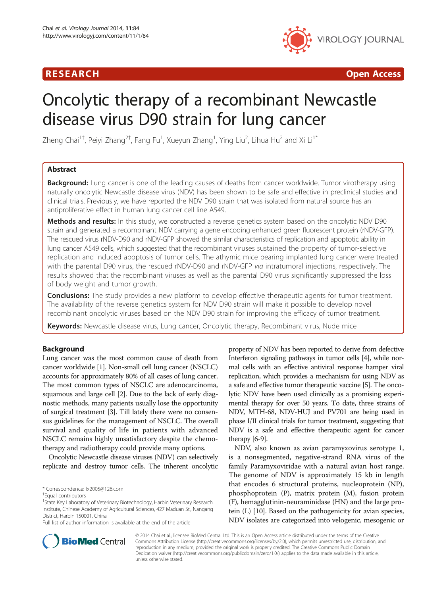# R E S EAR CH Open Access



# Oncolytic therapy of a recombinant Newcastle disease virus D90 strain for lung cancer

Zheng Chai $^{\rm 1+}$ , Peiyi Zhang $^{\rm 2+}$ , Fang Fu $^{\rm 1}$ , Xueyun Zhang $^{\rm 1}$ , Ying Liu $^{\rm 2}$ , Lihua Hu $^{\rm 2}$  and Xi Li $^{\rm 1*}$ 

# Abstract

Background: Lung cancer is one of the leading causes of deaths from cancer worldwide. Tumor virotherapy using naturally oncolytic Newcastle disease virus (NDV) has been shown to be safe and effective in preclinical studies and clinical trials. Previously, we have reported the NDV D90 strain that was isolated from natural source has an antiproliferative effect in human lung cancer cell line A549.

Methods and results: In this study, we constructed a reverse genetics system based on the oncolytic NDV D90 strain and generated a recombinant NDV carrying a gene encoding enhanced green fluorescent protein (rNDV-GFP). The rescued virus rNDV-D90 and rNDV-GFP showed the similar characteristics of replication and apoptotic ability in lung cancer A549 cells, which suggested that the recombinant viruses sustained the property of tumor-selective replication and induced apoptosis of tumor cells. The athymic mice bearing implanted lung cancer were treated with the parental D90 virus, the rescued rNDV-D90 and rNDV-GFP via intratumoral injections, respectively. The results showed that the recombinant viruses as well as the parental D90 virus significantly suppressed the loss of body weight and tumor growth.

**Conclusions:** The study provides a new platform to develop effective therapeutic agents for tumor treatment. The availability of the reverse genetics system for NDV D90 strain will make it possible to develop novel recombinant oncolytic viruses based on the NDV D90 strain for improving the efficacy of tumor treatment.

Keywords: Newcastle disease virus, Lung cancer, Oncolytic therapy, Recombinant virus, Nude mice

# Background

Lung cancer was the most common cause of death from cancer worldwide [\[1\]](#page-8-0). Non-small cell lung cancer (NSCLC) accounts for approximately 80% of all cases of lung cancer. The most common types of NSCLC are adenocarcinoma, squamous and large cell [\[2](#page-8-0)]. Due to the lack of early diagnostic methods, many patients usually lose the opportunity of surgical treatment [\[3\]](#page-8-0). Till lately there were no consensus guidelines for the management of NSCLC. The overall survival and quality of life in patients with advanced NSCLC remains highly unsatisfactory despite the chemotherapy and radiotherapy could provide many options.

Oncolytic Newcastle disease viruses (NDV) can selectively replicate and destroy tumor cells. The inherent oncolytic

property of NDV has been reported to derive from defective Interferon signaling pathways in tumor cells [\[4\]](#page-8-0), while normal cells with an effective antiviral response hamper viral replication, which provides a mechanism for using NDV as a safe and effective tumor therapeutic vaccine [\[5\]](#page-8-0). The oncolytic NDV have been used clinically as a promising experimental therapy for over 50 years. To date, three strains of NDV, MTH-68, NDV-HUJ and PV701 are being used in phase I/II clinical trials for tumor treatment, suggesting that NDV is a safe and effective therapeutic agent for cancer therapy [\[6-9\]](#page-8-0).

NDV, also known as avian paramyxovirus serotype 1, is a nonsegmented, negative-strand RNA virus of the family Paramyxoviridae with a natural avian host range. The genome of NDV is approximately 15 kb in length that encodes 6 structural proteins, nucleoprotein (NP), phosphoprotein (P), matrix protein (M), fusion protein (F), hemagglutinin-neuraminidase (HN) and the large protein (L) [[10](#page-8-0)]. Based on the pathogenicity for avian species, NDV isolates are categorized into velogenic, mesogenic or



© 2014 Chai et al.; licensee BioMed Central Ltd. This is an Open Access article distributed under the terms of the Creative Commons Attribution License [\(http://creativecommons.org/licenses/by/2.0\)](http://creativecommons.org/licenses/by/2.0), which permits unrestricted use, distribution, and reproduction in any medium, provided the original work is properly credited. The Creative Commons Public Domain Dedication waiver [\(http://creativecommons.org/publicdomain/zero/1.0/](http://creativecommons.org/publicdomain/zero/1.0/)) applies to the data made available in this article, unless otherwise stated.

<sup>\*</sup> Correspondence: [lx2005@126.com](mailto:lx2005@126.com) †

Equal contributors

<sup>&</sup>lt;sup>1</sup>State Key Laboratory of Veterinary Biotechnology, Harbin Veterinary Research Institute, Chinese Academy of Agricultural Sciences, 427 Maduan St., Nangang District, Harbin 150001, China

Full list of author information is available at the end of the article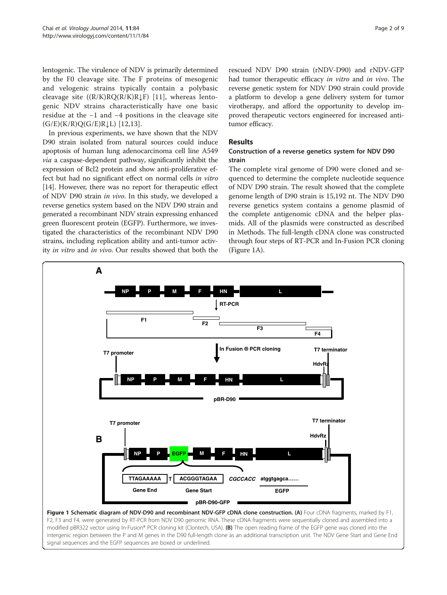<span id="page-1-0"></span>lentogenic. The virulence of NDV is primarily determined by the F0 cleavage site. The F proteins of mesogenic and velogenic strains typically contain a polybasic cleavage site  $((R/K)RQ(R/K)R \downarrow F)$  [[11\]](#page-8-0), whereas lentogenic NDV strains characteristically have one basic residue at the −1 and −4 positions in the cleavage site  $(G/E)(K/R)Q(G/E)R\downarrow L)$  [[12](#page-8-0),[13\]](#page-8-0).

In previous experiments, we have shown that the NDV D90 strain isolated from natural sources could induce apoptosis of human lung adenocarcinoma cell line A549 via a caspase-dependent pathway, significantly inhibit the expression of Bcl2 protein and show anti-proliferative effect but had no significant effect on normal cells in vitro [[14](#page-8-0)]. However, there was no report for therapeutic effect of NDV D90 strain in vivo. In this study, we developed a reverse genetics system based on the NDV D90 strain and generated a recombinant NDV strain expressing enhanced green fluorescent protein (EGFP). Furthermore, we investigated the characteristics of the recombinant NDV D90 strains, including replication ability and anti-tumor activity in vitro and in vivo. Our results showed that both the

rescued NDV D90 strain (rNDV-D90) and rNDV-GFP had tumor therapeutic efficacy in vitro and in vivo. The reverse genetic system for NDV D90 strain could provide a platform to develop a gene delivery system for tumor virotherapy, and afford the opportunity to develop improved therapeutic vectors engineered for increased antitumor efficacy.

#### Results

# Construction of a reverse genetics system for NDV D90 strain

The complete viral genome of D90 were cloned and sequenced to determine the complete nucleotide sequence of NDV D90 strain. The result showed that the complete genome length of D90 strain is 15,192 nt. The NDV D90 reverse genetics system contains a genome plasmid of the complete antigenomic cDNA and the helper plasmids. All of the plasmids were constructed as described in [Methods.](#page-6-0) The full-length cDNA clone was constructed through four steps of RT-PCR and In-Fusion PCR cloning (Figure 1A).



F2, F3 and F4, were generated by RT-PCR from NDV D90 genomic RNA. These cDNA fragments were sequentially cloned and assembled into a modified pBR322 vector using In-Fusion® PCR cloning kit (Clontech, USA). (B) The open reading frame of the EGFP gene was cloned into the intergenic region between the P and M genes in the D90 full-length clone as an additional transcription unit. The NDV Gene Start and Gene End signal sequences and the EGFP sequences are boxed or underlined.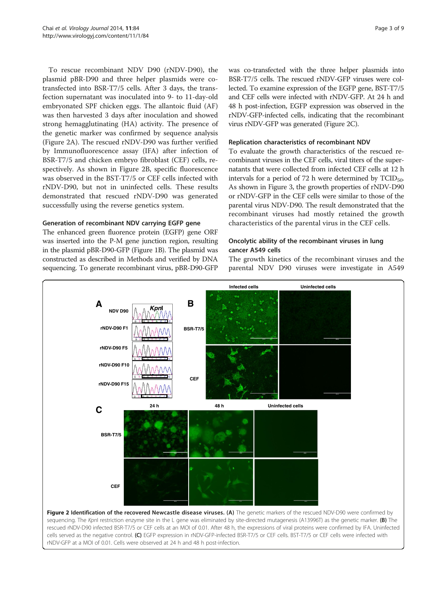<span id="page-2-0"></span>To rescue recombinant NDV D90 (rNDV-D90), the plasmid pBR-D90 and three helper plasmids were cotransfected into BSR-T7/5 cells. After 3 days, the transfection supernatant was inoculated into 9- to 11-day-old embryonated SPF chicken eggs. The allantoic fluid (AF) was then harvested 3 days after inoculation and showed strong hemagglutinating (HA) activity. The presence of the genetic marker was confirmed by sequence analysis (Figure 2A). The rescued rNDV-D90 was further verified by Immunofluorescence assay (IFA) after infection of BSR-T7/5 and chicken embryo fibroblast (CEF) cells, respectively. As shown in Figure 2B, specific fluorescence was observed in the BST-T7/5 or CEF cells infected with rNDV-D90, but not in uninfected cells. These results demonstrated that rescued rNDV-D90 was generated successfully using the reverse genetics system.

# Generation of recombinant NDV carrying EGFP gene

The enhanced green fluorence protein (EGFP) gene ORF was inserted into the P-M gene junction region, resulting in the plasmid pBR-D90-GFP (Figure [1B](#page-1-0)). The plasmid was constructed as described in [Methods](#page-6-0) and verified by DNA sequencing. To generate recombinant virus, pBR-D90-GFP

was co-transfected with the three helper plasmids into BSR-T7/5 cells. The rescued rNDV-GFP viruses were collected. To examine expression of the EGFP gene, BST-T7/5 and CEF cells were infected with rNDV-GFP. At 24 h and 48 h post-infection, EGFP expression was observed in the rNDV-GFP-infected cells, indicating that the recombinant virus rNDV-GFP was generated (Figure 2C).

# Replication characteristics of recombinant NDV

To evaluate the growth characteristics of the rescued recombinant viruses in the CEF cells, viral titers of the supernatants that were collected from infected CEF cells at 12 h intervals for a period of 72 h were determined by  $TCID_{50}$ . As shown in Figure [3,](#page-3-0) the growth properties of rNDV-D90 or rNDV-GFP in the CEF cells were similar to those of the parental virus NDV-D90. The result demonstrated that the recombinant viruses had mostly retained the growth characteristics of the parental virus in the CEF cells.

# Oncolytic ability of the recombinant viruses in lung cancer A549 cells

The growth kinetics of the recombinant viruses and the parental NDV D90 viruses were investigate in A549



Figure 2 Identification of the recovered Newcastle disease viruses. (A) The genetic markers of the rescued NDV-D90 were confirmed by sequencing. The KpnI restriction enzyme site in the L gene was eliminated by site-directed mutagenesis (A13996T) as the genetic marker. (B) The rescued rNDV-D90 infected BSR-T7/5 or CEF cells at an MOI of 0.01. After 48 h, the expressions of viral proteins were confirmed by IFA. Uninfected cells served as the negative control. (C) EGFP expression in rNDV-GFP-infected BSR-T7/5 or CEF cells. BST-T7/5 or CEF cells were infected with rNDV-GFP at a MOI of 0.01. Cells were observed at 24 h and 48 h post-infection.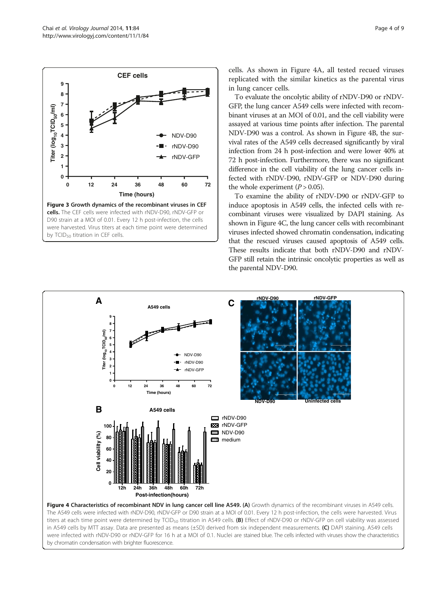<span id="page-3-0"></span>

cells. As shown in Figure 4A, all tested recued viruses replicated with the similar kinetics as the parental virus in lung cancer cells.

To evaluate the oncolytic ability of rNDV-D90 or rNDV-GFP, the lung cancer A549 cells were infected with recombinant viruses at an MOI of 0.01, and the cell viability were assayed at various time points after infection. The parental NDV-D90 was a control. As shown in Figure 4B, the survival rates of the A549 cells decreased significantly by viral infection from 24 h post-infection and were lower 40% at 72 h post-infection. Furthermore, there was no significant difference in the cell viability of the lung cancer cells infected with rNDV-D90, rNDV-GFP or NDV-D90 during the whole experiment  $(P > 0.05)$ .

To examine the ability of rNDV-D90 or rNDV-GFP to induce apoptosis in A549 cells, the infected cells with recombinant viruses were visualized by DAPI staining. As shown in Figure 4C, the lung cancer cells with recombinant viruses infected showed chromatin condensation, indicating that the rescued viruses caused apoptosis of A549 cells. These results indicate that both rNDV-D90 and rNDV-GFP still retain the intrinsic oncolytic properties as well as the parental NDV-D90.

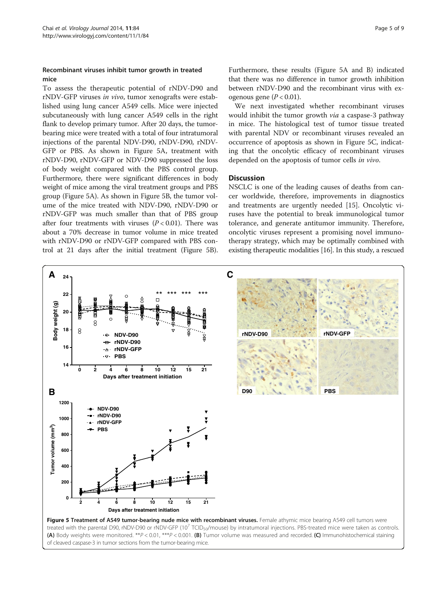## <span id="page-4-0"></span>Recombinant viruses inhibit tumor growth in treated mice

To assess the therapeutic potential of rNDV-D90 and rNDV-GFP viruses in vivo, tumor xenografts were established using lung cancer A549 cells. Mice were injected subcutaneously with lung cancer A549 cells in the right flank to develop primary tumor. After 20 days, the tumorbearing mice were treated with a total of four intratumoral injections of the parental NDV-D90, rNDV-D90, rNDV-GFP or PBS. As shown in Figure 5A, treatment with rNDV-D90, rNDV-GFP or NDV-D90 suppressed the loss of body weight compared with the PBS control group. Furthermore, there were significant differences in body weight of mice among the viral treatment groups and PBS group (Figure 5A). As shown in Figure 5B, the tumor volume of the mice treated with NDV-D90, rNDV-D90 or rNDV-GFP was much smaller than that of PBS group after four treatments with viruses  $(P < 0.01)$ . There was about a 70% decrease in tumor volume in mice treated with rNDV-D90 or rNDV-GFP compared with PBS control at 21 days after the initial treatment (Figure 5B). Furthermore, these results (Figure 5A and B) indicated that there was no difference in tumor growth inhibition between rNDV-D90 and the recombinant virus with exogenous gene  $(P < 0.01)$ .

We next investigated whether recombinant viruses would inhibit the tumor growth *via* a caspase-3 pathway in mice. The histological test of tumor tissue treated with parental NDV or recombinant viruses revealed an occurrence of apoptosis as shown in Figure 5C, indicating that the oncolytic efficacy of recombinant viruses depended on the apoptosis of tumor cells in vivo.

## **Discussion**

NSCLC is one of the leading causes of deaths from cancer worldwide, therefore, improvements in diagnostics and treatments are urgently needed [\[15\]](#page-8-0). Oncolytic viruses have the potential to break immunological tumor tolerance, and generate antitumor immunity. Therefore, oncolytic viruses represent a promising novel immunotherapy strategy, which may be optimally combined with existing therapeutic modalities [[16](#page-8-0)]. In this study, a rescued

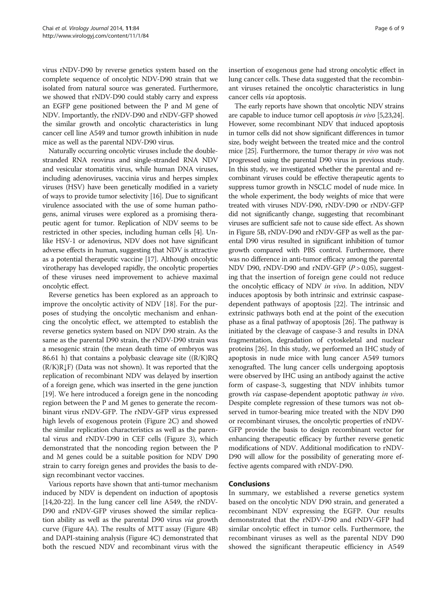virus rNDV-D90 by reverse genetics system based on the complete sequence of oncolytic NDV-D90 strain that we isolated from natural source was generated. Furthermore, we showed that rNDV-D90 could stably carry and express an EGFP gene positioned between the P and M gene of NDV. Importantly, the rNDV-D90 and rNDV-GFP showed the similar growth and oncolytic characteristics in lung cancer cell line A549 and tumor growth inhibition in nude mice as well as the parental NDV-D90 virus.

Naturally occurring oncolytic viruses include the doublestranded RNA reovirus and single-stranded RNA NDV and vesicular stomatitis virus, while human DNA viruses, including adenoviruses, vaccinia virus and herpes simplex viruses (HSV) have been genetically modified in a variety of ways to provide tumor selectivity [\[16\]](#page-8-0). Due to significant virulence associated with the use of some human pathogens, animal viruses were explored as a promising therapeutic agent for tumor. Replication of NDV seems to be restricted in other species, including human cells [\[4](#page-8-0)]. Unlike HSV-1 or adenovirus, NDV does not have significant adverse effects in human, suggesting that NDV is attractive as a potential therapeutic vaccine [\[17\]](#page-8-0). Although oncolytic virotherapy has developed rapidly, the oncolytic properties of these viruses need improvement to achieve maximal oncolytic effect.

Reverse genetics has been explored as an approach to improve the oncolytic activity of NDV [\[18](#page-8-0)]. For the purposes of studying the oncolytic mechanism and enhancing the oncolytic effect, we attempted to establish the reverse genetics system based on NDV D90 strain. As the same as the parental D90 strain, the rNDV-D90 strain was a mesogenic strain (the mean death time of embryos was 86.61 h) that contains a polybasic cleavage site ((R/K)RQ  $(R/K)R \downarrow F$ ) (Data was not shown). It was reported that the replication of recombinant NDV was delayed by insertion of a foreign gene, which was inserted in the gene junction [[19](#page-8-0)]. We here introduced a foreign gene in the noncoding region between the P and M genes to generate the recombinant virus rNDV-GFP. The rNDV-GFP virus expressed high levels of exogenous protein (Figure [2C](#page-2-0)) and showed the similar replication characteristics as well as the parental virus and rNDV-D90 in CEF cells (Figure [3\)](#page-3-0), which demonstrated that the noncoding region between the P and M genes could be a suitable position for NDV D90 strain to carry foreign genes and provides the basis to design recombinant vector vaccines.

Various reports have shown that anti-tumor mechanism induced by NDV is dependent on induction of apoptosis [[14,20](#page-8-0)-[22](#page-8-0)]. In the lung cancer cell line A549, the rNDV-D90 and rNDV-GFP viruses showed the similar replication ability as well as the parental D90 virus via growth curve (Figure [4](#page-3-0)A). The results of MTT assay (Figure [4B](#page-3-0)) and DAPI-staining analysis (Figure [4](#page-3-0)C) demonstrated that both the rescued NDV and recombinant virus with the

insertion of exogenous gene had strong oncolytic effect in lung cancer cells. These data suggested that the recombinant viruses retained the oncolytic characteristics in lung cancer cells via apoptosis.

The early reports have shown that oncolytic NDV strains are capable to induce tumor cell apoptosis in vivo [\[5,23,24](#page-8-0)]. However, some recombinant NDV that induced apoptosis in tumor cells did not show significant differences in tumor size, body weight between the treated mice and the control mice [[25](#page-8-0)]. Furthermore, the tumor therapy in vivo was not progressed using the parental D90 virus in previous study. In this study, we investigated whether the parental and recombinant viruses could be effective therapeutic agents to suppress tumor growth in NSCLC model of nude mice. In the whole experiment, the body weights of mice that were treated with viruses NDV-D90, rNDV-D90 or rNDV-GFP did not significantly change, suggesting that recombinant viruses are sufficient safe not to cause side effect. As shown in Figure [5B](#page-4-0), rNDV-D90 and rNDV-GFP as well as the parental D90 virus resulted in significant inhibition of tumor growth compared with PBS control. Furthermore, there was no difference in anti-tumor efficacy among the parental NDV D90, rNDV-D90 and rNDV-GFP  $(P > 0.05)$ , suggesting that the insertion of foreign gene could not reduce the oncolytic efficacy of NDV in vivo. In addition, NDV induces apoptosis by both intrinsic and extrinsic caspasedependent pathways of apoptosis [\[22\]](#page-8-0). The intrinsic and extrinsic pathways both end at the point of the execution phase as a final pathway of apoptosis [[26](#page-8-0)]. The pathway is initiated by the cleavage of caspase-3 and results in DNA fragmentation, degradation of cytoskeletal and nuclear proteins [\[26\]](#page-8-0). In this study, we performed an IHC study of apoptosis in nude mice with lung cancer A549 tumors xenografted. The lung cancer cells undergoing apoptosis were observed by IHC using an antibody against the active form of caspase-3, suggesting that NDV inhibits tumor growth via caspase-dependent apoptotic pathway in vivo. Despite complete regression of these tumors was not observed in tumor-bearing mice treated with the NDV D90 or recombinant viruses, the oncolytic properties of rNDV-GFP provide the basis to design recombinant vector for enhancing therapeutic efficacy by further reverse genetic modifications of NDV. Additional modification to rNDV-D90 will allow for the possibility of generating more effective agents compared with rNDV-D90.

# Conclusions

In summary, we established a reverse genetics system based on the oncolytic NDV D90 strain, and generated a recombinant NDV expressing the EGFP. Our results demonstrated that the rNDV-D90 and rNDV-GFP had similar oncolytic effect in tumor cells. Furthermore, the recombinant viruses as well as the parental NDV D90 showed the significant therapeutic efficiency in A549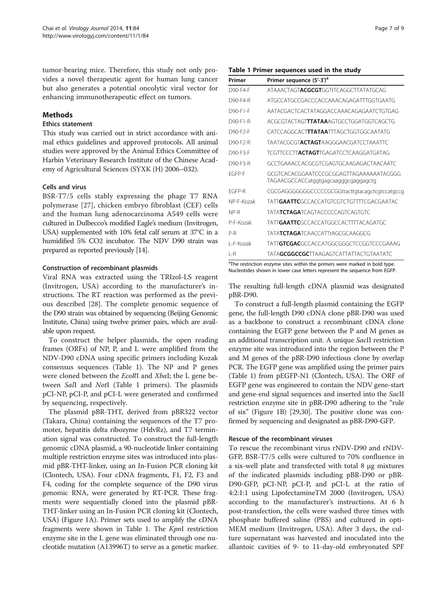<span id="page-6-0"></span>tumor-bearing mice. Therefore, this study not only provides a novel therapeutic agent for human lung cancer but also generates a potential oncolytic viral vector for enhancing immunotherapeutic effect on tumors.

## Methods

### Ethics statement

This study was carried out in strict accordance with animal ethics guidelines and approved protocols. All animal studies were approved by the Animal Ethics Committee of Harbin Veterinary Research Institute of the Chinese Academy of Agricultural Sciences (SYXK (H) 2006–032).

### Cells and virus

BSR-T7/5 cells stably expressing the phage T7 RNA polymerase [[27](#page-8-0)], chicken embryo fibroblast (CEF) cells and the human lung adenocarcinoma A549 cells were cultured in Dulbecco's modified Eagle's medium (Invitrogen, USA) supplemented with 10% fetal calf serum at 37°C in a humidified 5% CO2 incubator. The NDV D90 strain was prepared as reported previously [\[14](#page-8-0)].

# Construction of recombinant plasmids

Viral RNA was extracted using the TRIzol-LS reagent (Invitrogen, USA) according to the manufacturer's instructions. The RT reaction was performed as the previous described [\[28\]](#page-8-0). The complete genomic sequence of the D90 strain was obtained by sequencing (Beijing Genomic Institute, China) using twelve primer pairs, which are available upon request.

To construct the helper plasmids, the open reading frames (ORFs) of NP, P, and L were amplified from the NDV-D90 cDNA using specific primers including Kozak consensus sequences (Table 1). The NP and P genes were cloned between the EcoRI and XbaI; the L gene between SalI and NotI (Table 1 primers). The plasmids pCI-NP, pCI-P, and pCI-L were generated and confirmed by sequencing, respectively.

The plasmid pBR-THT, derived from pBR322 vector (Takara, China) containing the sequences of the T7 promoter, hepatitis delta ribozyme (HdvRz), and T7 termination signal was constructed. To construct the full-length genomic cDNA plasmid, a 90-nucleotide linker containing multiple restriction enzyme sites was introduced into plasmid pBR-THT-linker, using an In-Fusion PCR cloning kit (Clontech, USA). Four cDNA fragments, F1, F2, F3 and F4, coding for the complete sequence of the D90 virus genomic RNA, were generated by RT-PCR. These fragments were sequentially cloned into the plasmid pBR-THT-linker using an In-Fusion PCR cloning kit (Clontech, USA) (Figure [1](#page-1-0)A). Primer sets used to amplify the cDNA fragments were shown in Table 1. The KpnI restriction enzyme site in the L gene was eliminated through one nucleotide mutation (A13996T) to serve as a genetic marker.

#### Table 1 Primer sequences used in the study

| Primer     | Primer sequence (5'-3') <sup>a</sup>                                            |
|------------|---------------------------------------------------------------------------------|
| D90-F4-F   | ATAAACTAGTACGCGTGGTtTCAGGCTTATATGCAG                                            |
| D90-F4-R   | ATGCCATGCCGACCCACCAAACAGAGATTTGGTGAATG                                          |
| D90-F1-F   | AATACGACTCACTATAGGACCAAACAGAGAATCTGTGAG                                         |
| D90-F1-R   | ACGCGTACTAGT <b>TTATAA</b> AGTGCCTGGATGGTCAGCTG                                 |
| D90-F2-F   | CATCCAGGCACTTTATAATTTAGCTGGTGGCAATATG                                           |
| D90-F2-R   | <b>TAATACGCGTACTAGTAAGGGAACGATCCTAAATTC</b>                                     |
| D90-F3-F   | <b>TCGTTCCCTTACTAGT</b> TGAGATCCTCAAGGATGATAG                                   |
| D90-F3-R   | GCCTGAAACCACGCGTCGAGTGCAAGAGACTAACAATC                                          |
| FGFP-F     | GCGTCACACGGAATCCCGCGGAGTTAGAAAAAATACGGG<br>TAGAACGCCACCatggtgagcaagggcgaggagctg |
| FGFP-R     | CGCGAGGGGGGCCCCCGCGGttacttgtacagctcgtccatgccg                                   |
| NP-F-Kozak | <b>TATTGAATTC</b> GCCACCATGTCGTCTGTTTTCGACGAATAC                                |
| NP-R       | <b>TATATCTAGATCAGTACCCCCAGTCAGTGTC</b>                                          |
| P-F-Kozak  | <b>TATTGAATTCGCCACCATGGCCACTTTTACAGATGC</b>                                     |
| P-R        | <b>TATATCTAGATCAACCATTtAGCGCAAGGCG</b>                                          |
| L-F-Kozak  | TATT <b>GTCGAC</b> GCCACCATGGCGGGCTCCGGTCCCGAAAG                                |
| $I - R$    | <b>TATAGCGGCCGCTTAAGAGTCATTATTACTGTAATATC</b>                                   |

<sup>a</sup>The restriction enzyme sites within the primers were marked in bold type. Nucleotides shown in lower case letters represent the sequence from EGFP.

The resulting full-length cDNA plasmid was designated pBR-D90.

To construct a full-length plasmid containing the EGFP gene, the full-length D90 cDNA clone pBR-D90 was used as a backbone to construct a recombinant cDNA clone containing the EGFP gene between the P and M genes as an additional transcription unit. A unique SacII restriction enzyme site was introduced into the region between the P and M genes of the pBR-D90 infectious clone by overlap PCR. The EGFP gene was amplified using the primer pairs (Table 1) from pEGFP-N1 (Clontech, USA). The ORF of EGFP gene was engineered to contain the NDV gene-start and gene-end signal sequences and inserted into the *SacII* restriction enzyme site in pBR-D90 adhering to the "rule of six" (Figure [1](#page-1-0)B) [\[29,30\]](#page-8-0). The positive clone was confirmed by sequencing and designated as pBR-D90-GFP.

#### Rescue of the recombinant viruses

To rescue the recombinant virus rNDV-D90 and rNDV-GFP, BSR-T7/5 cells were cultured to 70% confluence in a six-well plate and transfected with total 8 μg mixtures of the indicated plasmids including pBR-D90 or pBR-D90-GFP, pCI-NP, pCI-P, and pCI-L at the ratio of 4:2:1:1 using LipofectamineTM 2000 (Invitrogen, USA) according to the manufacturer's instructions. At 6 h post-transfection, the cells were washed three times with phosphate buffered saline (PBS) and cultured in opti-MEM medium (Invitrogen, USA). After 3 days, the culture supernatant was harvested and inoculated into the allantoic cavities of 9- to 11-day-old embryonated SPF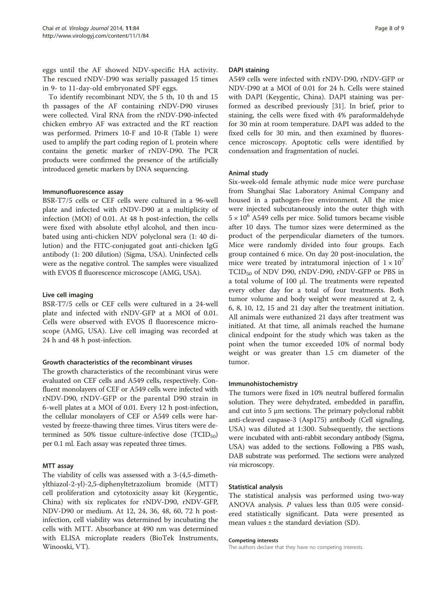eggs until the AF showed NDV-specific HA activity. The rescued rNDV-D90 was serially passaged 15 times in 9- to 11-day-old embryonated SPF eggs.

To identify recombinant NDV, the 5 th, 10 th and 15 th passages of the AF containing rNDV-D90 viruses were collected. Viral RNA from the rNDV-D90-infected chicken embryo AF was extracted and the RT reaction was performed. Primers 10-F and 10-R (Table [1\)](#page-6-0) were used to amplify the part coding region of L protein where contains the genetic marker of rNDV-D90. The PCR products were confirmed the presence of the artificially introduced genetic markers by DNA sequencing.

#### Immunofluorescence assay

BSR-T7/5 cells or CEF cells were cultured in a 96-well plate and infected with rNDV-D90 at a multiplicity of infection (MOI) of 0.01. At 48 h post-infection, the cells were fixed with absolute ethyl alcohol, and then incubated using anti-chicken NDV polyclonal sera (1: 40 dilution) and the FITC-conjugated goat anti-chicken IgG antibody (1: 200 dilution) (Sigma, USA). Uninfected cells were as the negative control. The samples were visualized with EVOS fl fluorescence microscope (AMG, USA).

#### Live cell imaging

BSR-T7/5 cells or CEF cells were cultured in a 24-well plate and infected with rNDV-GFP at a MOI of 0.01. Cells were observed with EVOS fl fluorescence microscope (AMG, USA). Live cell imaging was recorded at 24 h and 48 h post-infection.

#### Growth characteristics of the recombinant viruses

The growth characteristics of the recombinant virus were evaluated on CEF cells and A549 cells, respectively. Confluent monolayers of CEF or A549 cells were infected with rNDV-D90, rNDV-GFP or the parental D90 strain in 6-well plates at a MOI of 0.01. Every 12 h post-infection, the cellular monolayers of CEF or A549 cells were harvested by freeze-thawing three times. Virus titers were determined as 50% tissue culture-infective dose  $(TCID_{50})$ per 0.1 ml. Each assay was repeated three times.

#### MTT assay

The viability of cells was assessed with a 3-(4,5-dimethylthiazol-2-yl)-2,5-diphenyltetrazolium bromide (MTT) cell proliferation and cytotoxicity assay kit (Keygentic, China) with six replicates for rNDV-D90, rNDV-GFP, NDV-D90 or medium. At 12, 24, 36, 48, 60, 72 h postinfection, cell viability was determined by incubating the cells with MTT. Absorbance at 490 nm was determined with ELISA microplate readers (BioTek Instruments, Winooski, VT).

#### DAPI staining

A549 cells were infected with rNDV-D90, rNDV-GFP or NDV-D90 at a MOI of 0.01 for 24 h. Cells were stained with DAPI (Keygentic, China). DAPI staining was performed as described previously [[31\]](#page-8-0). In brief, prior to staining, the cells were fixed with 4% paraformaldehyde for 30 min at room temperature. DAPI was added to the fixed cells for 30 min, and then examined by fluorescence microscopy. Apoptotic cells were identified by condensation and fragmentation of nuclei.

#### Animal study

Six-week-old female athymic nude mice were purchase from Shanghai Slac Laboratory Animal Company and housed in a pathogen-free environment. All the mice were injected subcutaneously into the outer thigh with  $5 \times 10^6$  A549 cells per mice. Solid tumors became visible after 10 days. The tumor sizes were determined as the product of the perpendicular diameters of the tumors. Mice were randomly divided into four groups. Each group contained 6 mice. On day 20 post-inoculation, the mice were treated by intratumoral injection of  $1 \times 10^{7}$  $TCID<sub>50</sub>$  of NDV D90, rNDV-D90, rNDV-GFP or PBS in a total volume of 100 μl. The treatments were repeated every other day for a total of four treatments. Both tumor volume and body weight were measured at 2, 4, 6, 8, 10, 12, 15 and 21 day after the treatment initiation. All animals were euthanized 21 days after treatment was initiated. At that time, all animals reached the humane clinical endpoint for the study which was taken as the point when the tumor exceeded 10% of normal body weight or was greater than 1.5 cm diameter of the tumor.

#### Immunohistochemistry

The tumors were fixed in 10% neutral buffered formalin solution. They were dehydrated, embedded in paraffin, and cut into 5 μm sections. The primary polyclonal rabbit anti-cleaved caspase-3 (Asp175) antibody (Cell signaling, USA) was diluted at 1:300. Subsequently, the sections were incubated with anti-rabbit secondary antibody (Sigma, USA) was added to the sections. Following a PBS wash, DAB substrate was performed. The sections were analyzed via microscopy.

#### Statistical analysis

The statistical analysis was performed using two-way ANOVA analysis.  $P$  values less than 0.05 were considered statistically significant. Data were presented as mean values  $\pm$  the standard deviation (SD).

#### Competing interests

The authors declare that they have no competing interests.